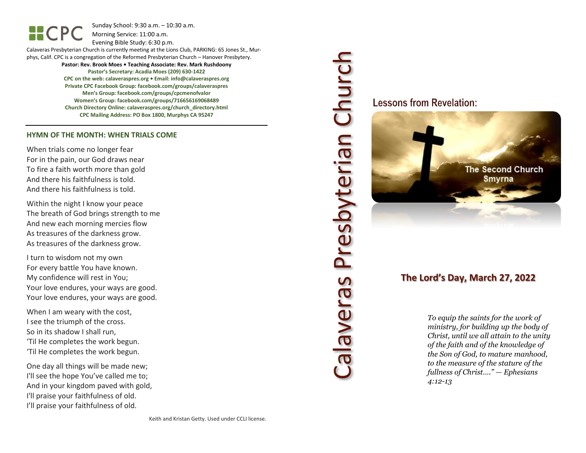Sunday School: 9: 3 0 a.m. – 10:30 a.m. Morning Service: 1 1 :00 a.m.

Evening Bible Study: 6: 30 p.m.

Calaveras Presbyterian Church is currently meeting at the Lions Club, PARKING: 65 Jones St., Murphys, Calif. CPC is a congregation of the Reformed Presbyterian Church – Hanover Presbytery.

**Pastor: Rev. Brook Moes • Teaching Associate: Rev. Mark Rushdoony Pastor's Secretary: Acadia Moes (209) 630 -1422 CPC on the web: calaveraspres.org • Email: [info@calaveraspres.org](mailto:info@calaveraspres.org) Private CPC Facebook Group: facebook.com/groups/calaveraspres Men's Group: facebook.com/groups/cpcmenofvalor Women's Group: facebook.com/groups/716656169068489 Church Directory Online: calaveraspres.org/church \_directory.html CPC Mailing Address: PO Box 1800, Murphys CA 95247**

### **HYMN OF THE MONTH: WHEN TRIALS COME**

When trials come no longer fear For in the pain , our God draws near To fire a faith worth more than gold And there his faithfulness is told . And there his faithfulness is told.

Within the night I know your peace The breath of God brings strength to me And new each morning mercies flow As treasures of the darkness grow. As treasures of the darkness grow .

I turn to wisdom not my own For every battle You have known . My confidence will rest in You ; Your love endures, your ways are good . Your love endures, your ways are good.

When I am weary with the cost , I see the triumph of the cross. So in its shadow I shall run , 'Til He complete s the work begun . 'Til He completes the work begun.

One day all things will be made new ; I'll see the hope You've called me to; And in your kingdom paved with gold , I'll praise your faithfulness of old . I'll praise your faithfulness of old.

# Calaveras Presbyterian Church Calaveras Presbyterian Church

**Lessons from Revelation:** 



# **The Lord's Day, March 2 7, 202 2**

*To equip the saints for the work of ministry, for building up the body of Christ, until we all attain to the unity of the faith and of the knowledge of the Son of God, to mature manhood, to the measure of the stature of the fullness of Christ…." — Ephesians 4:12 -13*